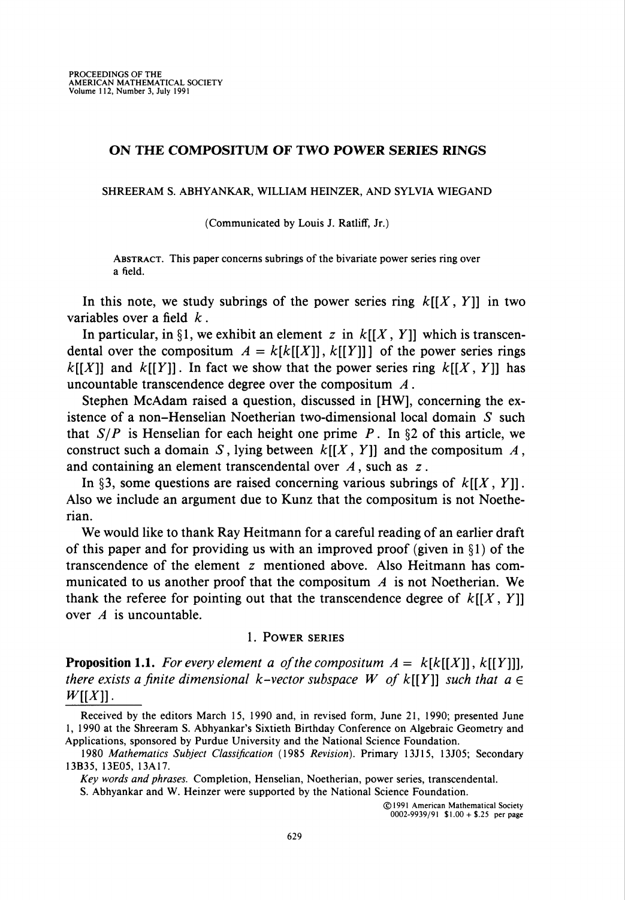# ON THE COMPOSITUM OF TWO POWER SERIES RINGS

SHREERAM S. ABHYANKAR, WILLIAM HEINZER, AND SYLVIA WIEGAND

(Communicated by Louis J. Ratliff, Jr.)

Abstract. This paper concerns subrings of the bivariate power series ring over a field.

In this note, we study subrings of the power series ring  $k[[X, Y]]$  in two variables over a field  $k$ .

In particular, in §1, we exhibit an element z in  $k[[X, Y]]$  which is transcendental over the compositum  $A = k[k[[X]], k[[Y]]]$  of the power series rings  $k[[X]]$  and  $k[[Y]]$ . In fact we show that the power series ring  $k[[X, Y]]$  has uncountable transcendence degree over the compositum  $A$ .

Stephen McAdam raised a question, discussed in [HW], concerning the existence of a non-Henselian Noetherian two-dimensional local domain  $S$  such that  $S/P$  is Henselian for each height one prime P. In §2 of this article, we construct such a domain S, lying between  $k[[X, Y]]$  and the compositum A, and containing an element transcendental over  $A$ , such as  $z$ .

In §3, some questions are raised concerning various subrings of  $k[[X, Y]]$ . Also we include an argument due to Kunz that the compositum is not Noetherian.

We would like to thank Ray Heitmann for a careful reading of an earlier draft of this paper and for providing us with an improved proof (given in  $\S$ 1) of the transcendence of the element z mentioned above. Also Heitmann has communicated to us another proof that the compositum  $\vec{A}$  is not Noetherian. We thank the referee for pointing out that the transcendence degree of  $k[[X, Y]]$ over  $A$  is uncountable.

## 1. Power series

**Proposition 1.1.** For every element a of the compositum  $A = k[k[[X]], k[[Y]]]$ , there exists a finite dimensional k-vector subspace W of  $k[[Y]]$  such that  $a \in$  $W[[X]]$ .

Received by the editors March 15, 1990 and, in revised form, June 21, 1990; presented June 1, 1990 at the Shreeram S. Abhyankar's Sixtieth Birthday Conference on Algebraic Geometry and Applications, sponsored by Purdue University and the National Science Foundation.

Key words and phrases. Completion, Henselian, Noetherian, power series, transcendental.

S. Abhyankar and W. Heinzer were supported by the National Science Foundation.

<sup>1980</sup> Mathematics Subject Classification (1985 Revision). Primary 13J15, 13J05; Secondary 13B35, 13E05, 13A17.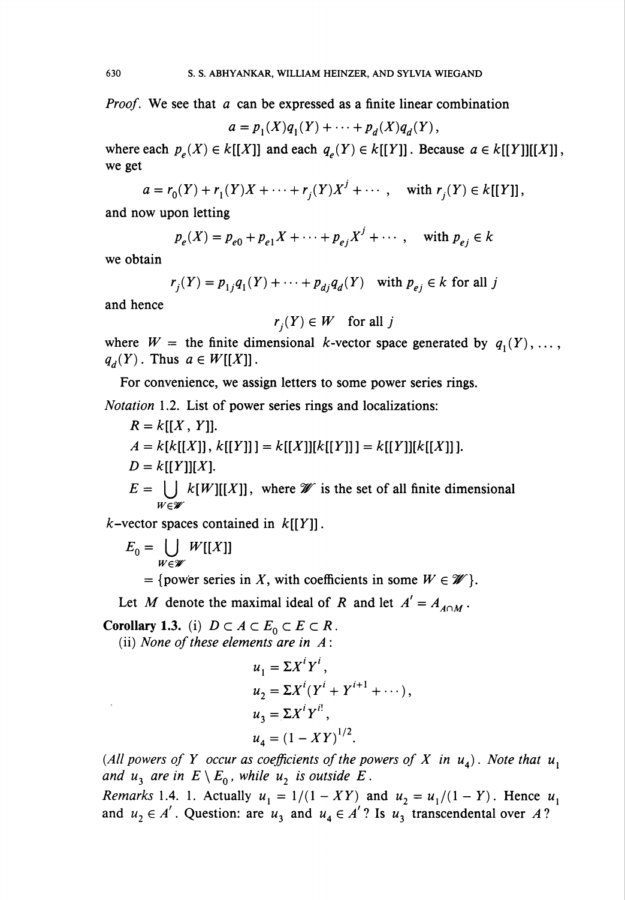*Proof.* We see that  $\alpha$  can be expressed as a finite linear combination

$$
a=p_1(X)q_1(Y)+\cdots+p_d(X)q_d(Y),
$$

where each  $p_e(X) \in k[[X]]$  and each  $q_e(Y) \in k[[Y]]$ . Because  $a \in k[[Y]][[X]]$ , we get

 $a = r_0(Y) + r_1(Y)X + \cdots + r_i(Y)X^j + \cdots$ , with  $r_i(Y) \in k[[Y]]$ ,

and now upon letting

$$
p_e(X) = p_{e0} + p_{e1}X + \dots + p_{ej}X^j + \dots
$$
, with  $p_{ej} \in k$ 

we obtain

$$
r_j(Y) = p_{1j}q_1(Y) + \dots + p_{dj}q_d(Y) \quad \text{with } p_{ej} \in k \text{ for all } j
$$

and hence

$$
r_i(Y) \in W
$$
 for all j

where  $W =$  the finite dimensional k-vector space generated by  $q_1(Y), \ldots$ ,  $q_d(Y)$ . Thus  $a \in W[[X]]$ .

For convenience, we assign letters to some power series rings.

Notation 1.2. List of power series rings and localizations:

$$
R = k[[X, Y]].
$$
  
\n
$$
A = k[k[[X]], k[[Y]]] = k[[X]][k[[Y]]] = k[[Y]][k[[X]]].
$$
  
\n
$$
D = k[[Y]][X].
$$
  
\n
$$
E = \bigcup_{W \in \mathscr{W}} k[W][[X]], \text{ where } \mathscr{W} \text{ is the set of all finite dimensional}
$$

k-vector spaces contained in  $k[[Y]]$ .

$$
E_0=\bigcup_{W\in\mathscr{W}}W[[X]]
$$

= {power series in X, with coefficients in some  $W \in \mathcal{W}$  }.

Let M denote the maximal ideal of R and let  $A' = A_{A \cap M}$ .

Corollary 1.3. (i)  $D \subset A \subset E_0 \subset E \subset R$ .

(ii) None of these elements are in  $A$ :

$$
u1 = \Sigma Xi Yi,\nu2 = \Sigma Xi (Yi + Yi+1 + \cdots),\nu3 = \Sigma Xi Yi!,\nu4 = (1 - XY)1/2.
$$

(All powers of Y occur as coefficients of the powers of X in  $u_1$ ). Note that  $u_1$ and  $u_3$  are in  $E \setminus E_0$ , while  $u_2$  is outside E.

*Remarks* 1.4. 1. Actually  $u_1 = 1/(1 - XY)$  and  $u_2 = u_1/(1 - Y)$ . Hence  $u_1$ and  $u_2 \in A'$ . Question: are  $u_3$  and  $u_4 \in A'$ ? Is  $u_3$  transcendental over A?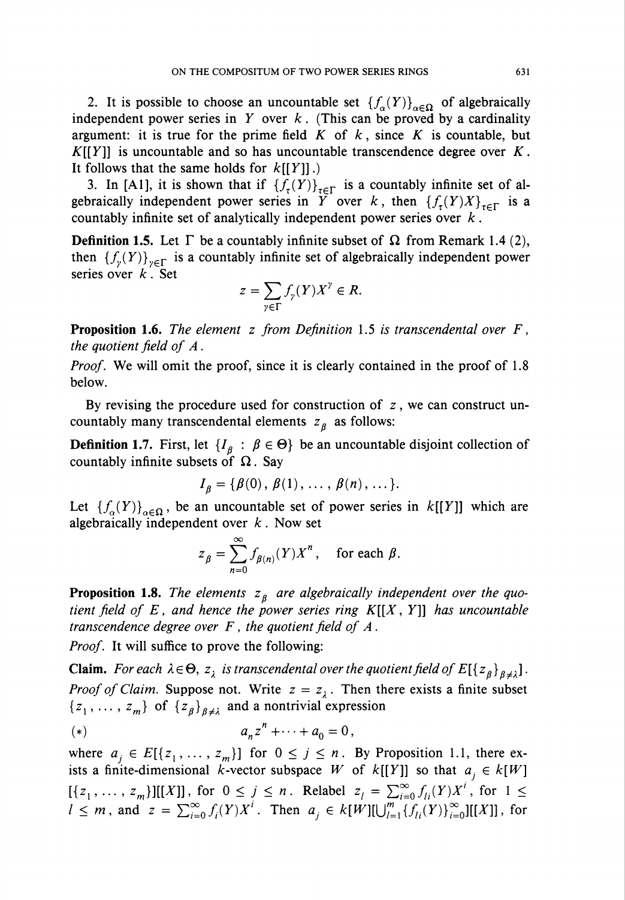2. It is possible to choose an uncountable set  $\{f_{\alpha}(Y)\}_{{\alpha}\in\Omega}$  of algebraically independent power series in Y over  $k$ . (This can be proved by a cardinality argument: it is true for the prime field  $K$  of  $k$ , since  $K$  is countable, but  $K[[Y]]$  is uncountable and so has uncountable transcendence degree over K. It follows that the same holds for  $k[[Y]]$ .)

3. In [A1], it is shown that if  ${f_r(Y)}_{r \in \Gamma}$  is a countably infinite set of algebraically independent power series in Y over k, then  ${f_r(Y)X}_{r\in\Gamma}$  is a countably infinite set of analytically independent power series over  $k$ .

**Definition 1.5.** Let  $\Gamma$  be a countably infinite subset of  $\Omega$  from Remark 1.4 (2), then  ${f_{\nu}(Y)}_{\nu \in \Gamma}$  is a countably infinite set of algebraically independent power series over  $k$ . Set

$$
z=\sum_{\gamma\in\Gamma}f_{\gamma}(Y)X^{\gamma}\in R.
$$

**Proposition 1.6.** The element z from Definition 1.5 is transcendental over  $F$ , the quotient field of  $A$ .

*Proof.* We will omit the proof, since it is clearly contained in the proof of 1.8 below.

By revising the procedure used for construction of  $z$ , we can construct uncountably many transcendental elements  $z<sub>g</sub>$  as follows:

**Definition 1.7.** First, let  $\{I_{\beta} : \beta \in \Theta\}$  be an uncountable disjoint collection of countably infinite subsets of  $\Omega$ . Say

$$
I_{\beta} = \{ \beta(0), \beta(1), \ldots, \beta(n), \ldots \}.
$$

Let  ${f_a(Y)}_{\alpha \in \Omega}$ , be an uncountable set of power series in  $k[[Y]]$  which are algebraically independent over  $k$ . Now set

$$
z_{\beta} = \sum_{n=0}^{\infty} f_{\beta(n)}(Y) X^n, \text{ for each } \beta.
$$

**Proposition 1.8.** The elements  $z_{\beta}$  are algebraically independent over the quotient field of E, and hence the power series ring  $K[[X, Y]]$  has uncountable transcendence degree over  $F$ , the quotient field of  $A$ .

Proof. It will suffice to prove the following:

**Claim.** For each  $\lambda \in \Theta$ ,  $z_{\lambda}$  is transcendental over the quotient field of  $E[{z_{\beta}}_{\beta \neq \lambda}]$ . *Proof of Claim.* Suppose not. Write  $z = z<sub>\lambda</sub>$ . Then there exists a finite subset  ${z_1, \ldots, z_m}$  of  ${z_\beta}_{\beta \neq \lambda}$  and a nontrivial expression

(\*) 
$$
a_n z^n + \cdots + a_0 = 0,
$$

where  $a_j \in E[{z_1, \ldots, z_m}]$  for  $0 \le j \le n$ . By Proposition 1.1, there exists a finite-dimensional *k*-vector subspace W of  $k[[Y]]$  so that  $a_j \in k[W]$  $[{z_1, \ldots, z_m}][[X]]$ , for  $0 \le j \le n$ . Relabel  $z_i = \sum_{i=0}^{\infty} f_{ii}(Y)X^i$ , for  $1 \le j \le n$ .  $l \leq m$ , and  $z = \sum_{i=0}^{\infty} f_i(Y)X^i$ . Then  $a_j \in k[W][\bigcup_{l=1}^m \{f_{li}(Y)\}_{i=0}^{\infty}][[X]]$ , for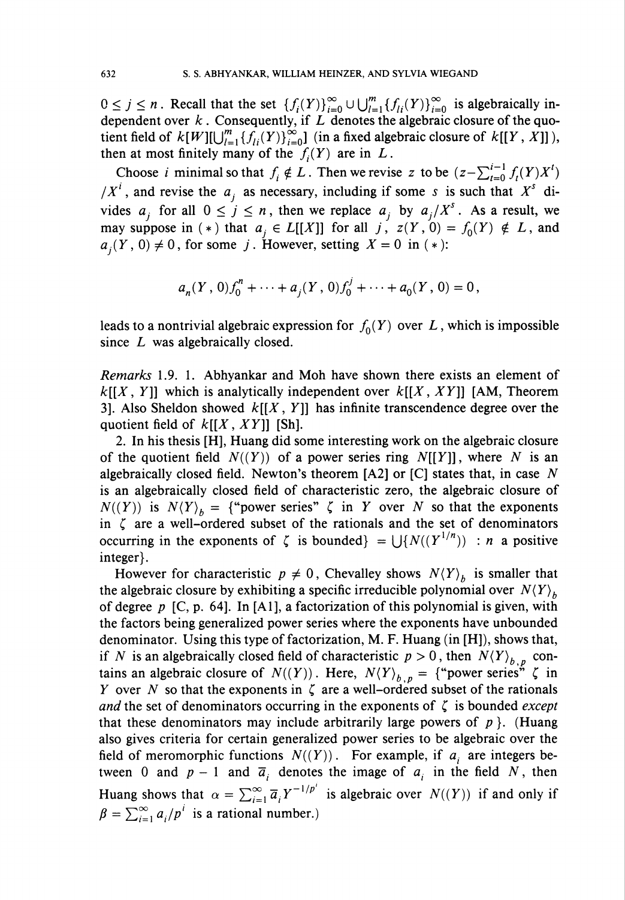$0 \leq j \leq n$ . Recall that the set  ${f_i(Y)}_{i=0}^{\infty} \cup \bigcup_{l=1}^{m} {f_{i}(Y)}_{i=0}^{\infty}$  is algebraically independent over  $k$ . Consequently, if  $L$  denotes the algebraic closure of the quotient field of  $k[W][\bigcup_{l=1}^m \{f_{li}(Y)\}_{i=0}^\infty]$  (in a fixed algebraic closure of  $k[[Y, X]]$ ), then at most finitely many of the  $f_i(Y)$  are in L.

Choose i minimal so that  $f_i \notin L$ . Then we revise z to be  $(z-\sum_{t=0}^{i-1} f_t(Y)X^t)$  $/X<sup>i</sup>$ , and revise the  $a_j$  as necessary, including if some s is such that  $X<sup>s</sup>$  divides  $a_i$  for all  $0 \le j \le n$ , then we replace  $a_i$  by  $a_i/X^s$ . As a result, we may suppose in (\*) that  $a_i \in L[[X]]$  for all j,  $z(Y, 0) = f_0(Y) \notin L$ , and  $a_j(Y, 0) \neq 0$ , for some j. However, setting  $X = 0$  in (\*):

$$
a_n(Y, 0)f_0^n + \cdots + a_j(Y, 0)f_0^j + \cdots + a_0(Y, 0) = 0,
$$

leads to a nontrivial algebraic expression for  $f_0(Y)$  over L, which is impossible since L was algebraically closed.

Remarks 1.9. 1. Abhyankar and Moh have shown there exists an element of  $k[[X, Y]]$  which is analytically independent over  $k[[X, XY]]$  [AM, Theorem 3]. Also Sheldon showed  $k[[X, Y]]$  has infinite transcendence degree over the quotient field of  $k[[X, XY]]$  [Sh].

2. In his thesis [H], Huang did some interesting work on the algebraic closure of the quotient field  $N((Y))$  of a power series ring  $N[[Y]]$ , where N is an algebraically closed field. Newton's theorem  $[A2]$  or  $[C]$  states that, in case N is an algebraically closed field of characteristic zero, the algebraic closure of  $N((Y))$  is  $N(Y)_b =$  {"power series"  $\zeta$  in Y over N so that the exponents in  $\zeta$  are a well-ordered subset of the rationals and the set of denominators occurring in the exponents of  $\zeta$  is bounded} =  $\bigcup \{N((Y^{1/n})) : n \text{ a positive}\}$ integer}.

However for characteristic  $p \neq 0$ , Chevalley shows  $N(Y)$  is smaller that the algebraic closure by exhibiting a specific irreducible polynomial over  $N(Y)_b$ of degree  $p$  [C, p. 64]. In [A1], a factorization of this polynomial is given, with the factors being generalized power series where the exponents have unbounded denominator. Using this type of factorization, M. F. Huang (in [H]), shows that, if N is an algebraically closed field of characteristic  $p > 0$ , then  $N\langle Y \rangle_{b, p}$  contains an algebraic closure of  $N((Y))$ . Here,  $N(Y)_{b,p} = \{$ "power series"  $\zeta$  in Y over N so that the exponents in  $\zeta$  are a well-ordered subset of the rationals and the set of denominators occurring in the exponents of  $\zeta$  is bounded except that these denominators may include arbitrarily large powers of  $p$ . (Huang also gives criteria for certain generalized power series to be algebraic over the field of meromorphic functions  $N((Y))$ . For example, if  $a_i$  are integers between 0 and  $p-1$  and  $\overline{a}_i$  denotes the image of  $a_i$  in the field N, then Huang shows that  $\alpha = \sum_{i=1}^{\infty} \overline{a}_i Y^{-1/p^i}$  is algebraic over  $N((Y))$  if and only if  $\beta = \sum_{i=1}^{\infty} a_i/p^i$  is a rational number.)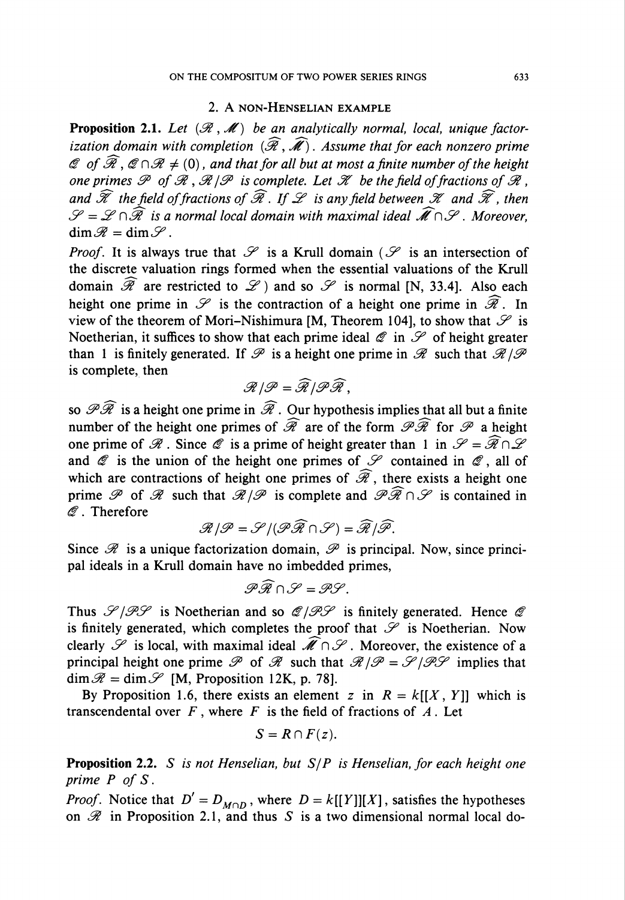# 2. A non-Henselian example

**Proposition 2.1.** Let  $(\mathcal{R},\mathcal{M})$  be an analytically normal, local, unique factorization domain with completion  $(\widehat{\mathcal{R}}, \widehat{\mathcal{M}})$ . Assume that for each nonzero prime © of  $\widehat{\mathcal{R}}$ ,  $\mathcal{Q} \cap \mathcal{R} \neq (0)$ , and that for all but at most a finite number of the height one primes  $\mathscr P$  of  $\mathscr R$ ,  $\mathscr R/\mathscr P$  is complete. Let  $\mathscr K$  be the field of fractions of  $\mathscr R$ . and  $\widehat{\mathscr{K}}$  the field of fractions of  $\widehat{\mathscr{R}}$ . If  $\mathscr{L}$  is any field between  $\mathscr{K}$  and  $\widehat{\mathscr{K}}$ , then  $\mathscr{S} = \mathscr{L} \cap \widehat{\mathscr{R}}$  is a normal local domain with maximal ideal  $\widehat{\mathscr{M}} \cap \mathscr{S}$ . Moreover,  $\dim \mathscr{R} = \dim \mathscr{S}$ .

*Proof.* It is always true that  $\mathcal S$  is a Krull domain ( $\mathcal S$  is an intersection of the discrete valuation rings formed when the essential valuations of the Krull domain  $\widehat{\mathscr{R}}$  are restricted to  $\mathscr{L}$  and so  $\mathscr{S}$  is normal [N, 33.4]. Also each height one prime in  $\mathscr S$  is the contraction of a height one prime in  $\widehat{\mathscr R}$ . In view of the theorem of Mori-Nishimura [M, Theorem 104], to show that  $\mathscr S$  is Noetherian, it suffices to show that each prime ideal  $\mathscr Q$  in  $\mathscr S$  of height greater than 1 is finitely generated. If  $\mathscr P$  is a height one prime in  $\mathscr R$  such that  $\mathscr R/\mathscr P$ is complete, then

$$
\mathscr{R}/\mathscr{P}=\widehat{\mathscr{R}}/\mathscr{P}\widehat{\mathscr{R}}\,,
$$

so  $\mathscr{P}\widehat{\mathscr{R}}$  is a height one prime in  $\widehat{\mathscr{R}}$ . Our hypothesis implies that all but a finite number of the height one primes of  $\widehat{\mathscr{R}}$  are of the form  $\mathscr{P}\widehat{\mathscr{R}}$  for  $\mathscr{P}$  a height one prime of  $\mathscr R$ . Since  $\mathscr Q$  is a prime of height greater than 1 in  $\mathscr S = \widehat{\mathscr R} \cap \mathscr L$ and  $\mathscr Q$  is the union of the height one primes of  $\mathscr S$  contained in  $\mathscr Q$ , all of which are contractions of height one primes of  $\widehat{\mathscr{R}}$ , there exists a height one prime  $\mathscr P$  of  $\mathscr R$  such that  $\mathscr R/\mathscr P$  is complete and  $\mathscr P\widehat{\mathscr R}\cap\mathscr S$  is contained in  $\mathscr Q$ . Therefore

$$
\mathscr{R}/\mathscr{P}=\mathscr{S}/(\mathscr{P}\widehat{\mathscr{R}}\cap \mathscr{S})=\widehat{\mathscr{R}}/\widehat{\mathscr{P}}.
$$

Since  $\mathscr R$  is a unique factorization domain,  $\mathscr P$  is principal. Now, since principal ideals in a Krull domain have no imbedded primes,

$$
\mathscr{P} \widehat{\mathscr{R}} \cap \mathscr{S} = \mathscr{P} \mathscr{S}.
$$

Thus  $\mathscr{S}/\mathscr{P}\mathscr{S}$  is Noetherian and so  $\mathscr{Q}/\mathscr{P}\mathscr{S}$  is finitely generated. Hence  $\mathscr{Q}$ is finitely generated, which completes the proof that  $\mathscr S$  is Noetherian. Now clearly  $\mathscr S$  is local, with maximal ideal  $\mathscr M \cap \mathscr S$ . Moreover, the existence of a principal height one prime  $\mathscr P$  of  $\mathscr R$  such that  $\mathscr R/\mathscr P = \mathscr S/\mathscr P\mathscr S$  implies that  $\dim \mathscr{R} = \dim \mathscr{S}$  [M, Proposition 12K, p. 78].

By Proposition 1.6, there exists an element z in  $R = k[[X, Y]]$  which is transcendental over  $F$ , where  $F$  is the field of fractions of  $A$ . Let

$$
S = R \cap F(z).
$$

**Proposition 2.2.** S is not Henselian, but  $S/P$  is Henselian, for each height one prime P of S.

*Proof.* Notice that  $D' = D_{M \cap D}$ , where  $D = k[[Y]][X]$ , satisfies the hypotheses on  $\mathscr R$  in Proposition 2.1, and thus S is a two dimensional normal local do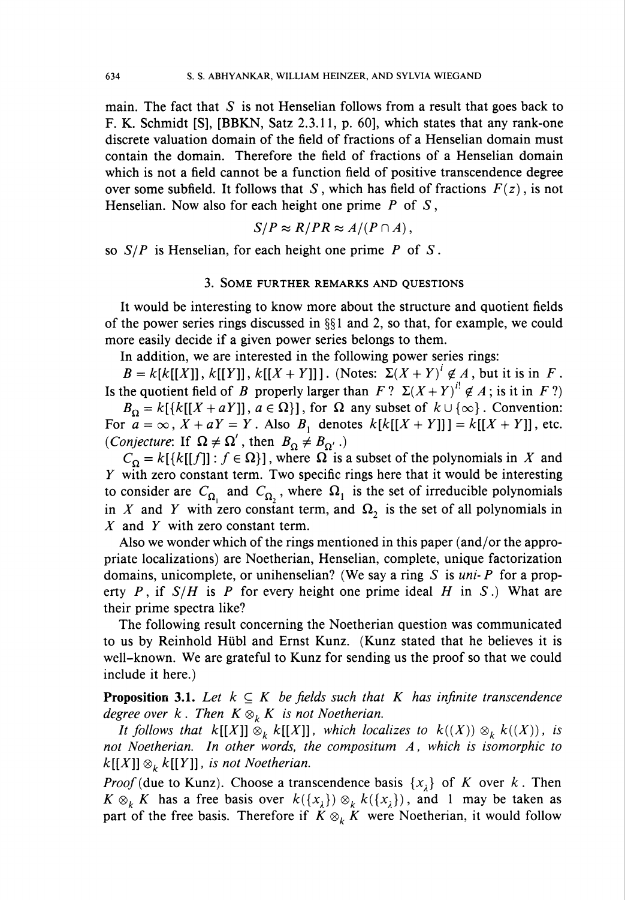main. The fact that  $S$  is not Henselian follows from a result that goes back to F. K. Schmidt [S], [BBKN, Satz 2.3.11, p. 60], which states that any rank-one discrete valuation domain of the field of fractions of a Henselian domain must contain the domain. Therefore the field of fractions of a Henselian domain which is not a field cannot be a function field of positive transcendence degree over some subfield. It follows that S, which has field of fractions  $F(z)$ , is not Henselian. Now also for each height one prime  $P$  of  $S$ ,

$$
S/P \approx R/PR \approx A/(P\cap A),
$$

so  $S/P$  is Henselian, for each height one prime P of S.

#### 3. Some further remarks and questions

It would be interesting to know more about the structure and quotient fields of the power series rings discussed in  $\S$ 1 and 2, so that, for example, we could more easily decide if a given power series belongs to them.

In addition, we are interested in the following power series rings:

 $B = k[k[[X]], k[[Y]], k[[X + Y]]]$ . (Notes:  $\Sigma(X + Y)^{i} \notin A$ , but it is in F. Is the quotient field of B properly larger than  $F$ ?  $\Sigma(X + Y)^{i} \notin A$ ; is it in F?)

 $B_{\Omega} = k[\{k[[X + aY]], a \in \Omega\}]$ , for  $\Omega$  any subset of  $k \cup \{\infty\}$ . Convention: For  $a = \infty$ ,  $X + aY = Y$ . Also  $B_1$  denotes  $k[k[[X + Y]]] = k[[X + Y]]$ , etc. (*Conjecture*: If  $\Omega \neq \Omega'$ , then  $B_{\Omega} \neq B_{\Omega'}$ .)

 $C_{\Omega} = k[{k[[f]] : f \in \Omega}]$ , where  $\Omega$  is a subset of the polynomials in X and Y with zero constant term. Two specific rings here that it would be interesting to consider are  $C_{\Omega}$  and  $C_{\Omega}$ , where  $\Omega_1$  is the set of irreducible polynomials in X and Y with zero constant term, and  $\Omega$ , is the set of all polynomials in X and Y with zero constant term.

Also we wonder which of the rings mentioned in this paper (and/or the appropriate localizations) are Noetherian, Henselian, complete, unique factorization domains, unicomplete, or unihenselian? (We say a ring S is  $uni\text{-}P$  for a property P, if  $S/H$  is P for every height one prime ideal H in S.) What are their prime spectra like?

The following result concerning the Noetherian question was communicated to us by Reinhold Hübl and Ernst Kunz. (Kunz stated that he believes it is well-known. We are grateful to Kunz for sending us the proof so that we could include it here.)

**Proposition 3.1.** Let  $k \subseteq K$  be fields such that K has infinite transcendence degree over  $k$ . Then  $K \otimes_k K$  is not Noetherian.

It follows that  $k[[X]] \otimes_k k[[X]]$ , which localizes to  $k((X)) \otimes_k k((X))$ , is not Noetherian. In other words, the compositum A, which is isomorphic to  $k[[X]] \otimes_k k[[Y]]$ , is not Noetherian.

*Proof* (due to Kunz). Choose a transcendence basis  $\{x_i\}$  of K over k. Then  $K \otimes_k K$  has a free basis over  $k({x<sub>\lambda</sub>}) \otimes_k k({x<sub>\lambda</sub>})$ , and 1 may be taken as part of the free basis. Therefore if  $K \otimes_k K$  were Noetherian, it would follow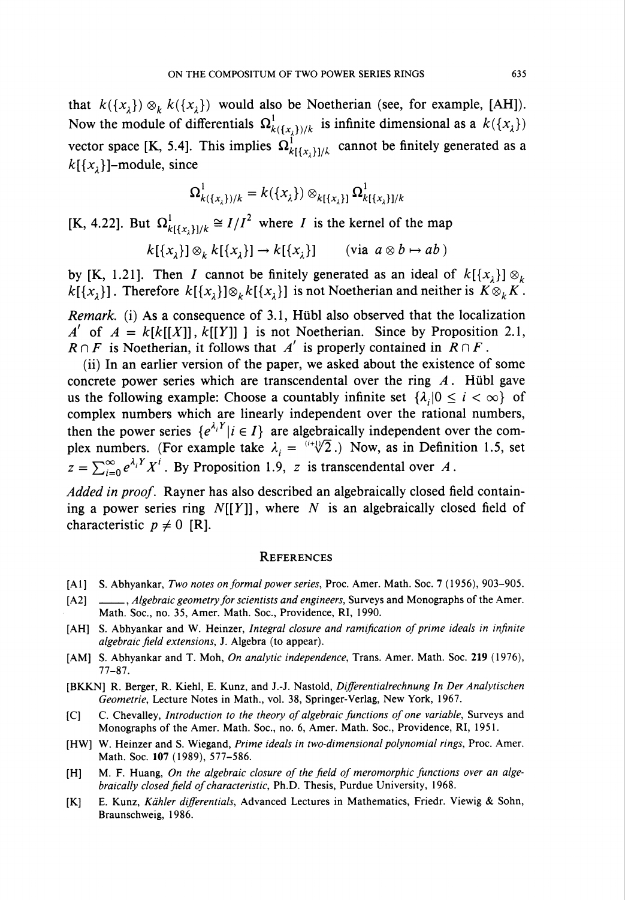that  $k({x<sub>1</sub>}) \otimes_k k({x<sub>1</sub>})$  would also be Noetherian (see, for example, [AH]). Now the module of differentials  $\Omega^1_{k(\lbrace x, \rbrace)/k}$  is infinite dimensional as a  $k(\lbrace x \rbrace)$ vector space [K, 5.4]. This implies  $\Omega_{k[{x},1]/k}^{1}$  cannot be finitely generated as a  $k[{x,}]$ -module, since

$$
\Omega^1_{k(\{x_\lambda\})/k} = k(\{x_\lambda\}) \otimes_{k(\{x_\lambda\})} \Omega^1_{k(\{x_\lambda\})/k}
$$

[K, 4.22]. But  $\Omega_{k[\{x, \}\] / k}^1 \cong I/I^2$  where *I* is the kernel of the map

$$
k[{x2}] \otimes_k k[{x2}] \to k[{x2}] \qquad \text{(via } a \otimes b \mapsto ab \text{)}
$$

by [K, 1.21]. Then *I* cannot be finitely generated as an ideal of  $k[{x,}] \otimes_k$  $k[{x<sub>1</sub>}]$ . Therefore  $k[{x<sub>1</sub>}] \otimes_k k[{x<sub>1</sub>}]$  is not Noetherian and neither is  $K \otimes_k K$ .

Remark, (i) As a consequence of 3.1, Hübl also observed that the localization  $\Lambda'$  of  $A = k[k[[X]], k[[Y]]]$  is not Noetherian. Since by Proposition 2.1,  $R \cap F$  is Noetherian, it follows that A' is properly contained in  $R \cap F$ .

(ii) In an earlier version of the paper, we asked about the existence of some concrete power series which are transcendental over the ring  $A$ . Hübl gave us the following example: Choose a countably infinite set  $\{\lambda_i | 0 \le i < \infty\}$  of complex numbers which are linearly independent over the rational numbers, then the power series  $\{e^{\lambda_i Y} | i \in I\}$  are algebraically independent over the complex numbers. (For example take  $\lambda_i = \frac{(i+\sqrt{2})}{2}$ .) Now, as in Definition 1.5, set  $z = \sum_{i=0}^{\infty} e^{\lambda_i Y} X^i$ . By Proposition 1.9, z is transcendental over A.

Added in proof. Rayner has also described an algebraically closed field containing a power series ring  $N[[Y]]$ , where N is an algebraically closed field of characteristic  $p \neq 0$  [R].

### **REFERENCES**

- [A1] S. Abhyankar, Two notes on formal power series, Proc. Amer. Math. Soc. 7 (1956), 903-905.
- [A2] \_\_\_\_\_, *Algebraic geometry for scientists and engineers*, Surveys and Monographs of the Amer. Math. Soc, no. 35, Amer. Math. Soc, Providence, RI, 1990.
- [AH] S. Abhyankar and W. Heinzer, Integral closure and ramification of prime ideals in infinite algebraic field extensions, J. Algebra (to appear).
- [AM] S. Abhyankar and T. Moh, On analytic independence, Trans. Amer. Math. Soc. 219 (1976), 77-87.
- [BKKN] R. Berger, R. Kiehl, E. Kunz, and J.-J. Nastold, Differentialrechnung In Der Analytischen Geometrie, Lecture Notes in Math., vol. 38, Springer-Verlag, New York, 1967.
- [C] C. Chevalley, Introduction to the theory of algebraic functions of one variable, Surveys and Monographs of the Amer. Math. Soc, no. 6, Amer. Math. Soc, Providence, RI, 1951.
- [HW] W. Heinzer and S. Wiegand, Prime ideals in two-dimensional polynomial rings, Proc. Amer. Math. Soc. 107 (1989), 577-586.
- [H] M. F. Huang, On the algebraic closure of the field of meromorphic functions over an algebraically closed field of characteristic, Ph.D. Thesis, Purdue University, 1968.
- [K] E. Kunz, Kähler differentials, Advanced Lectures in Mathematics, Friedr. Viewig & Sohn, Braunschweig, 1986.